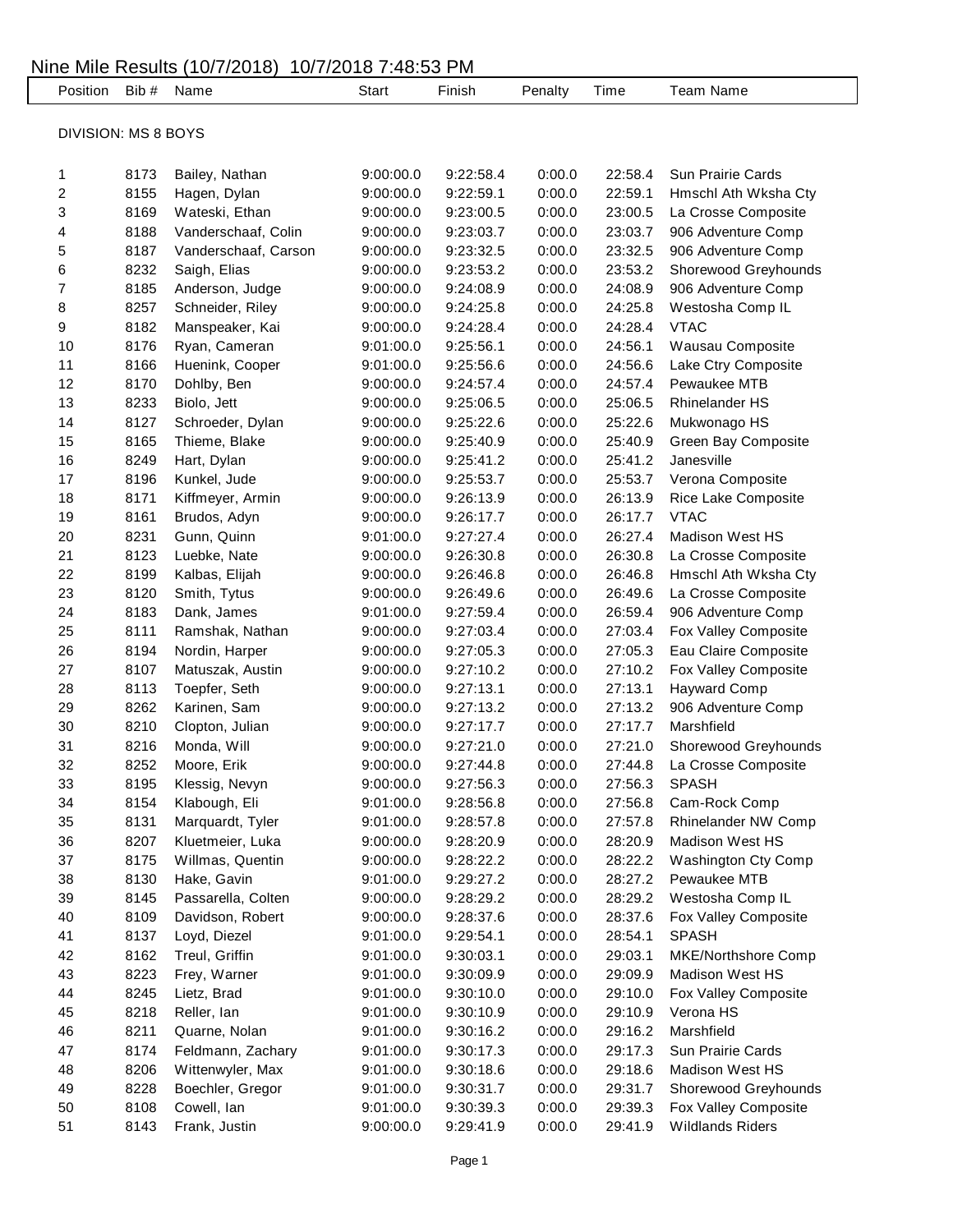## Nine Mile Results (10/7/2018) 10/7/2018 7:48:53 PM Position Bib # Name Start Finish Penalty Time Team Name DIVISION: MS 8 BOYS 8173 Bailey, Nathan 9:00:00.0 9:22:58.4 0:00.0 22:58.4 Sun Prairie Cards 8155 Hagen, Dylan 9:00:00.0 9:22:59.1 0:00.0 22:59.1 Hmschl Ath Wksha Cty 8169 Wateski, Ethan 9:00:00.0 9:23:00.5 0:00.0 23:00.5 La Crosse Composite 8188 Vanderschaaf, Colin 9:00:00.0 9:23:03.7 0:00.0 23:03.7 906 Adventure Comp 8187 Vanderschaaf, Carson 9:00:00.0 9:23:32.5 0:00.0 23:32.5 906 Adventure Comp 8232 Saigh, Elias 9:00:00.0 9:23:53.2 0:00.0 23:53.2 Shorewood Greyhounds 8185 Anderson, Judge 9:00:00.0 9:24:08.9 0:00.0 24:08.9 906 Adventure Comp 8257 Schneider, Riley 9:00:00.0 9:24:25.8 0:00.0 24:25.8 Westosha Comp IL 8182 Manspeaker, Kai 9:00:00.0 9:24:28.4 0:00.0 24:28.4 VTAC 8176 Ryan, Cameran 9:01:00.0 9:25:56.1 0:00.0 24:56.1 Wausau Composite 8166 Huenink, Cooper 9:01:00.0 9:25:56.6 0:00.0 24:56.6 Lake Ctry Composite 8170 Dohlby, Ben 9:00:00.0 9:24:57.4 0:00.0 24:57.4 Pewaukee MTB 8233 Biolo, Jett 9:00:00.0 9:25:06.5 0:00.0 25:06.5 Rhinelander HS 8127 Schroeder, Dylan 9:00:00.0 9:25:22.6 0:00.0 25:22.6 Mukwonago HS 8165 Thieme, Blake 9:00:00.0 9:25:40.9 0:00.0 25:40.9 Green Bay Composite 8249 Hart, Dylan 9:00:00.0 9:25:41.2 0:00.0 25:41.2 Janesville 8196 Kunkel, Jude 9:00:00.0 9:25:53.7 0:00.0 25:53.7 Verona Composite 8171 Kiffmeyer, Armin 9:00:00.0 9:26:13.9 0:00.0 26:13.9 Rice Lake Composite 8161 Brudos, Adyn 9:00:00.0 9:26:17.7 0:00.0 26:17.7 VTAC 8231 Gunn, Quinn 9:01:00.0 9:27:27.4 0:00.0 26:27.4 Madison West HS 8123 Luebke, Nate 9:00:00.0 9:26:30.8 0:00.0 26:30.8 La Crosse Composite 8199 Kalbas, Elijah 9:00:00.0 9:26:46.8 0:00.0 26:46.8 Hmschl Ath Wksha Cty 8120 Smith, Tytus 9:00:00.0 9:26:49.6 0:00.0 26:49.6 La Crosse Composite 8183 Dank, James 9:01:00.0 9:27:59.4 0:00.0 26:59.4 906 Adventure Comp 8111 Ramshak, Nathan 9:00:00.0 9:27:03.4 0:00.0 27:03.4 Fox Valley Composite 8194 Nordin, Harper 9:00:00.0 9:27:05.3 0:00.0 27:05.3 Eau Claire Composite 8107 Matuszak, Austin 9:00:00.0 9:27:10.2 0:00.0 27:10.2 Fox Valley Composite 8113 Toepfer, Seth 9:00:00.0 9:27:13.1 0:00.0 27:13.1 Hayward Comp 8262 Karinen, Sam 9:00:00.0 9:27:13.2 0:00.0 27:13.2 906 Adventure Comp 8210 Clopton, Julian 9:00:00.0 9:27:17.7 0:00.0 27:17.7 Marshfield 8216 Monda, Will 9:00:00.0 9:27:21.0 0:00.0 27:21.0 Shorewood Greyhounds 8252 Moore, Erik 9:00:00.0 9:27:44.8 0:00.0 27:44.8 La Crosse Composite 8195 Klessig, Nevyn 9:00:00.0 9:27:56.3 0:00.0 27:56.3 SPASH 8154 Klabough, Eli 9:01:00.0 9:28:56.8 0:00.0 27:56.8 Cam-Rock Comp 8131 Marquardt, Tyler 9:01:00.0 9:28:57.8 0:00.0 27:57.8 Rhinelander NW Comp 8207 Kluetmeier, Luka 9:00:00.0 9:28:20.9 0:00.0 28:20.9 Madison West HS 8175 Willmas, Quentin 9:00:00.0 9:28:22.2 0:00.0 28:22.2 Washington Cty Comp 8130 Hake, Gavin 9:01:00.0 9:29:27.2 0:00.0 28:27.2 Pewaukee MTB 8145 Passarella, Colten 9:00:00.0 9:28:29.2 0:00.0 28:29.2 Westosha Comp IL 8109 Davidson, Robert 9:00:00.0 9:28:37.6 0:00.0 28:37.6 Fox Valley Composite 8137 Loyd, Diezel 9:01:00.0 9:29:54.1 0:00.0 28:54.1 SPASH 8162 Treul, Griffin 9:01:00.0 9:30:03.1 0:00.0 29:03.1 MKE/Northshore Comp 8223 Frey, Warner 9:01:00.0 9:30:09.9 0:00.0 29:09.9 Madison West HS 8245 Lietz, Brad 9:01:00.0 9:30:10.0 0:00.0 29:10.0 Fox Valley Composite 8218 Reller, Ian 9:01:00.0 9:30:10.9 0:00.0 29:10.9 Verona HS 8211 Quarne, Nolan 9:01:00.0 9:30:16.2 0:00.0 29:16.2 Marshfield 8174 Feldmann, Zachary 9:01:00.0 9:30:17.3 0:00.0 29:17.3 Sun Prairie Cards 8206 Wittenwyler, Max 9:01:00.0 9:30:18.6 0:00.0 29:18.6 Madison West HS 8228 Boechler, Gregor 9:01:00.0 9:30:31.7 0:00.0 29:31.7 Shorewood Greyhounds 8108 Cowell, Ian 9:01:00.0 9:30:39.3 0:00.0 29:39.3 Fox Valley Composite 8143 Frank, Justin 9:00:00.0 9:29:41.9 0:00.0 29:41.9 Wildlands Riders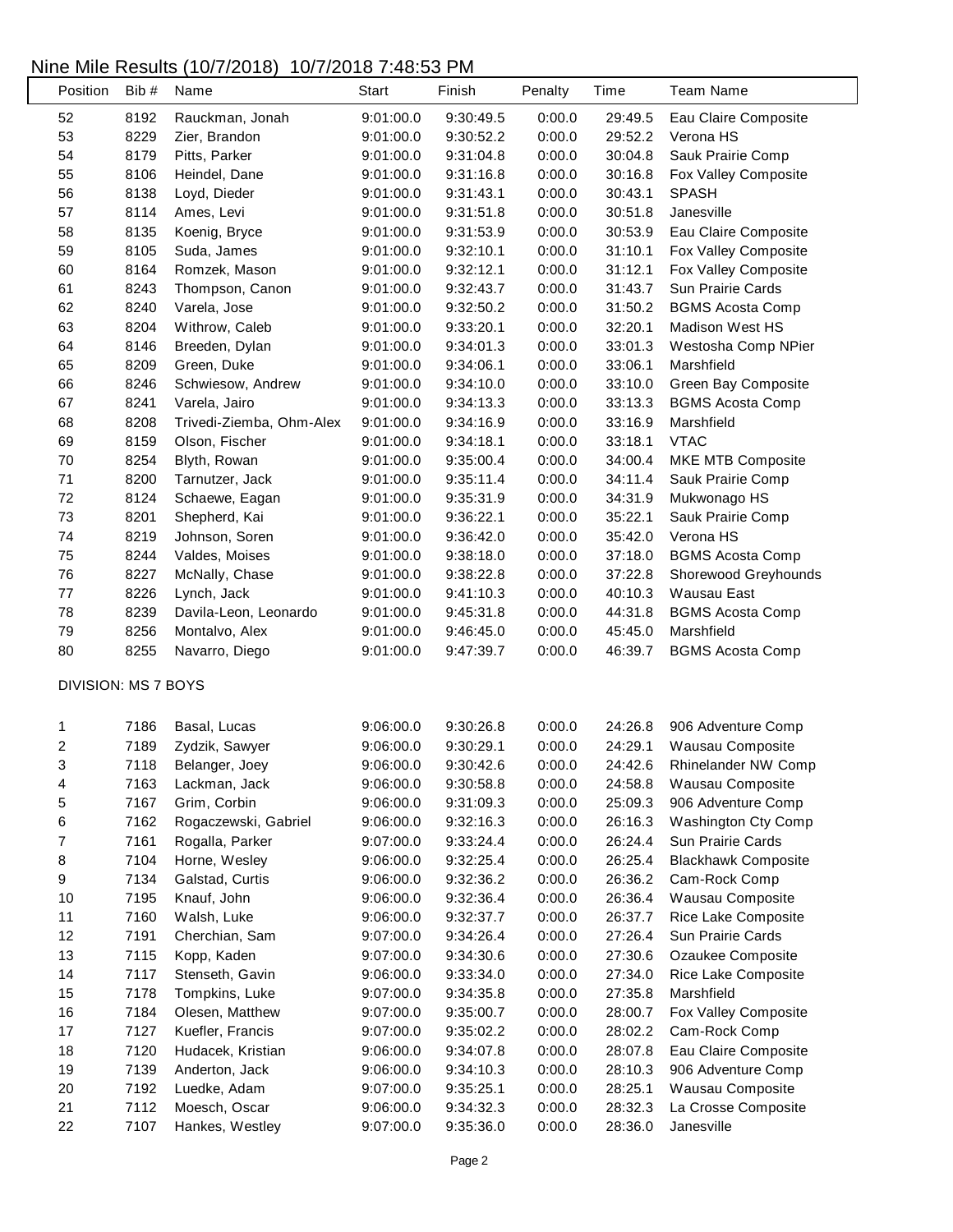## Nine Mile Results (10/7/2018) 10/7/2018 7:48:53 PM

| Position                   | Bib# | Name                     | Start     | Finish    | Penalty          | Time               | <b>Team Name</b>           |
|----------------------------|------|--------------------------|-----------|-----------|------------------|--------------------|----------------------------|
| 52                         | 8192 | Rauckman, Jonah          | 9:01:00.0 | 9:30:49.5 | 0:00.0           | 29:49.5            | Eau Claire Composite       |
| 53                         | 8229 | Zier, Brandon            | 9:01:00.0 | 9:30:52.2 | 0:00.0           | 29:52.2            | Verona HS                  |
| 54                         | 8179 | Pitts, Parker            | 9:01:00.0 | 9:31:04.8 | 0:00.0           | 30:04.8            | Sauk Prairie Comp          |
| 55                         | 8106 | Heindel, Dane            | 9:01:00.0 | 9:31:16.8 | 0:00.0           | 30:16.8            | Fox Valley Composite       |
| 56                         | 8138 | Loyd, Dieder             | 9:01:00.0 | 9:31:43.1 | 0:00.0           | 30:43.1            | <b>SPASH</b>               |
| 57                         | 8114 | Ames, Levi               | 9:01:00.0 | 9:31:51.8 | 0:00.0           | 30:51.8            | Janesville                 |
| 58                         | 8135 | Koenig, Bryce            | 9:01:00.0 | 9:31:53.9 | 0:00.0           | 30:53.9            | Eau Claire Composite       |
| 59                         | 8105 | Suda, James              | 9:01:00.0 | 9:32:10.1 | 0:00.0           | 31:10.1            | Fox Valley Composite       |
| 60                         | 8164 | Romzek, Mason            | 9:01:00.0 | 9:32:12.1 | 0:00.0           | 31:12.1            | Fox Valley Composite       |
| 61                         | 8243 | Thompson, Canon          | 9:01:00.0 | 9:32:43.7 | 0:00.0           | 31:43.7            | Sun Prairie Cards          |
| 62                         | 8240 | Varela, Jose             | 9:01:00.0 | 9:32:50.2 | 0:00.0           | 31:50.2            | <b>BGMS Acosta Comp</b>    |
| 63                         | 8204 | Withrow, Caleb           | 9:01:00.0 | 9:33:20.1 | 0:00.0           | 32:20.1            | Madison West HS            |
| 64                         | 8146 | Breeden, Dylan           | 9:01:00.0 | 9:34:01.3 | 0:00.0           | 33:01.3            | Westosha Comp NPier        |
| 65                         | 8209 | Green, Duke              | 9:01:00.0 | 9:34:06.1 | 0:00.0           | 33:06.1            | Marshfield                 |
| 66                         | 8246 | Schwiesow, Andrew        | 9:01:00.0 | 9:34:10.0 | 0:00.0           | 33:10.0            | Green Bay Composite        |
| 67                         | 8241 | Varela, Jairo            | 9:01:00.0 | 9:34:13.3 | 0:00.0           | 33:13.3            | <b>BGMS Acosta Comp</b>    |
| 68                         | 8208 | Trivedi-Ziemba, Ohm-Alex | 9:01:00.0 | 9:34:16.9 | 0:00.0           | 33:16.9            | Marshfield                 |
| 69                         | 8159 | Olson, Fischer           | 9:01:00.0 | 9:34:18.1 | 0:00.0           | 33:18.1            | <b>VTAC</b>                |
| 70                         | 8254 | Blyth, Rowan             | 9:01:00.0 | 9:35:00.4 | 0:00.0           | 34:00.4            | MKE MTB Composite          |
| 71                         | 8200 | Tarnutzer, Jack          | 9:01:00.0 | 9:35:11.4 | 0:00.0           | 34:11.4            | Sauk Prairie Comp          |
| 72                         | 8124 | Schaewe, Eagan           | 9:01:00.0 | 9:35:31.9 | 0:00.0           | 34:31.9            | Mukwonago HS               |
| 73                         | 8201 | Shepherd, Kai            | 9:01:00.0 | 9:36:22.1 | 0:00.0           | 35:22.1            | Sauk Prairie Comp          |
| 74                         | 8219 | Johnson, Soren           | 9:01:00.0 | 9:36:42.0 | 0:00.0           | 35:42.0            | Verona HS                  |
| 75                         | 8244 | Valdes, Moises           | 9:01:00.0 | 9:38:18.0 | 0:00.0           | 37:18.0            | <b>BGMS Acosta Comp</b>    |
| 76                         | 8227 | McNally, Chase           | 9:01:00.0 | 9:38:22.8 | 0:00.0           | 37:22.8            | Shorewood Greyhounds       |
| $77 \,$                    | 8226 | Lynch, Jack              | 9:01:00.0 | 9:41:10.3 | 0:00.0           | 40:10.3            | <b>Wausau East</b>         |
| 78                         | 8239 | Davila-Leon, Leonardo    | 9:01:00.0 | 9:45:31.8 | 0:00.0           | 44:31.8            | <b>BGMS Acosta Comp</b>    |
| 79                         | 8256 | Montalvo, Alex           | 9:01:00.0 | 9:46:45.0 | 0:00.0           | 45:45.0            | Marshfield                 |
| 80                         | 8255 | Navarro, Diego           | 9:01:00.0 | 9:47:39.7 | 0:00.0           | 46:39.7            | <b>BGMS Acosta Comp</b>    |
|                            |      |                          |           |           |                  |                    |                            |
| <b>DIVISION: MS 7 BOYS</b> |      |                          |           |           |                  |                    |                            |
| 1                          | 7186 | Basal, Lucas             | 9:06:00.0 | 9:30:26.8 | 0:00.0           | 24:26.8            | 906 Adventure Comp         |
| $\overline{\mathbf{c}}$    | 7189 | Zydzik, Sawyer           | 9:06:00.0 | 9:30:29.1 | 0:00.0           | 24:29.1            | Wausau Composite           |
| 3                          | 7118 | Belanger, Joey           | 9:06:00.0 | 9:30:42.6 | 0:00.0           | 24:42.6            | Rhinelander NW Comp        |
| 4                          | 7163 | Lackman, Jack            | 9:06:00.0 | 9:30:58.8 | 0:00.0           | 24:58.8            | Wausau Composite           |
| 5                          | 7167 | Grim, Corbin             | 9:06:00.0 | 9:31:09.3 | 0:00.0           | 25:09.3            | 906 Adventure Comp         |
| 6                          | 7162 | Rogaczewski, Gabriel     | 9:06:00.0 | 9:32:16.3 | 0:00.0           | 26:16.3            | <b>Washington Cty Comp</b> |
| 7                          | 7161 | Rogalla, Parker          | 9:07:00.0 | 9:33:24.4 | 0:00.0           | 26:24.4            | Sun Prairie Cards          |
| 8                          | 7104 | Horne, Wesley            | 9:06:00.0 | 9:32:25.4 | 0:00.0           | 26:25.4            | <b>Blackhawk Composite</b> |
| $\boldsymbol{9}$           | 7134 | Galstad, Curtis          | 9:06:00.0 | 9:32:36.2 | 0:00.0           | 26:36.2            | Cam-Rock Comp              |
| 10                         | 7195 | Knauf, John              | 9:06:00.0 | 9:32:36.4 | 0:00.0           | 26:36.4            | Wausau Composite           |
| 11                         | 7160 | Walsh, Luke              | 9:06:00.0 | 9:32:37.7 | 0:00.0           | 26:37.7            | Rice Lake Composite        |
| 12                         | 7191 | Cherchian, Sam           | 9:07:00.0 | 9:34:26.4 | 0:00.0           | 27:26.4            | Sun Prairie Cards          |
| 13                         | 7115 | Kopp, Kaden              | 9:07:00.0 | 9:34:30.6 | 0:00.0           | 27:30.6            | Ozaukee Composite          |
| 14                         | 7117 | Stenseth, Gavin          | 9:06:00.0 | 9:33:34.0 | 0:00.0           | 27:34.0            | Rice Lake Composite        |
| 15                         | 7178 | Tompkins, Luke           | 9:07:00.0 | 9:34:35.8 | 0:00.0           | 27:35.8            | Marshfield                 |
| 16                         | 7184 | Olesen, Matthew          | 9:07:00.0 | 9:35:00.7 | 0:00.0           | 28:00.7            | Fox Valley Composite       |
| 17                         | 7127 | Kuefler, Francis         |           |           | 0:00.0           | 28:02.2            |                            |
| 18                         | 7120 |                          | 9:07:00.0 | 9:35:02.2 |                  |                    | Cam-Rock Comp              |
|                            | 7139 | Hudacek, Kristian        | 9:06:00.0 | 9:34:07.8 | 0:00.0<br>0:00.0 | 28:07.8<br>28:10.3 | Eau Claire Composite       |
| 19                         |      | Anderton, Jack           | 9:06:00.0 | 9:34:10.3 |                  |                    | 906 Adventure Comp         |
| 20                         | 7192 | Luedke, Adam             | 9:07:00.0 | 9:35:25.1 | 0:00.0           | 28:25.1            | Wausau Composite           |
| 21                         | 7112 | Moesch, Oscar            | 9:06:00.0 | 9:34:32.3 | 0:00.0           | 28:32.3            | La Crosse Composite        |
| 22                         | 7107 | Hankes, Westley          | 9:07:00.0 | 9:35:36.0 | 0:00.0           | 28:36.0            | Janesville                 |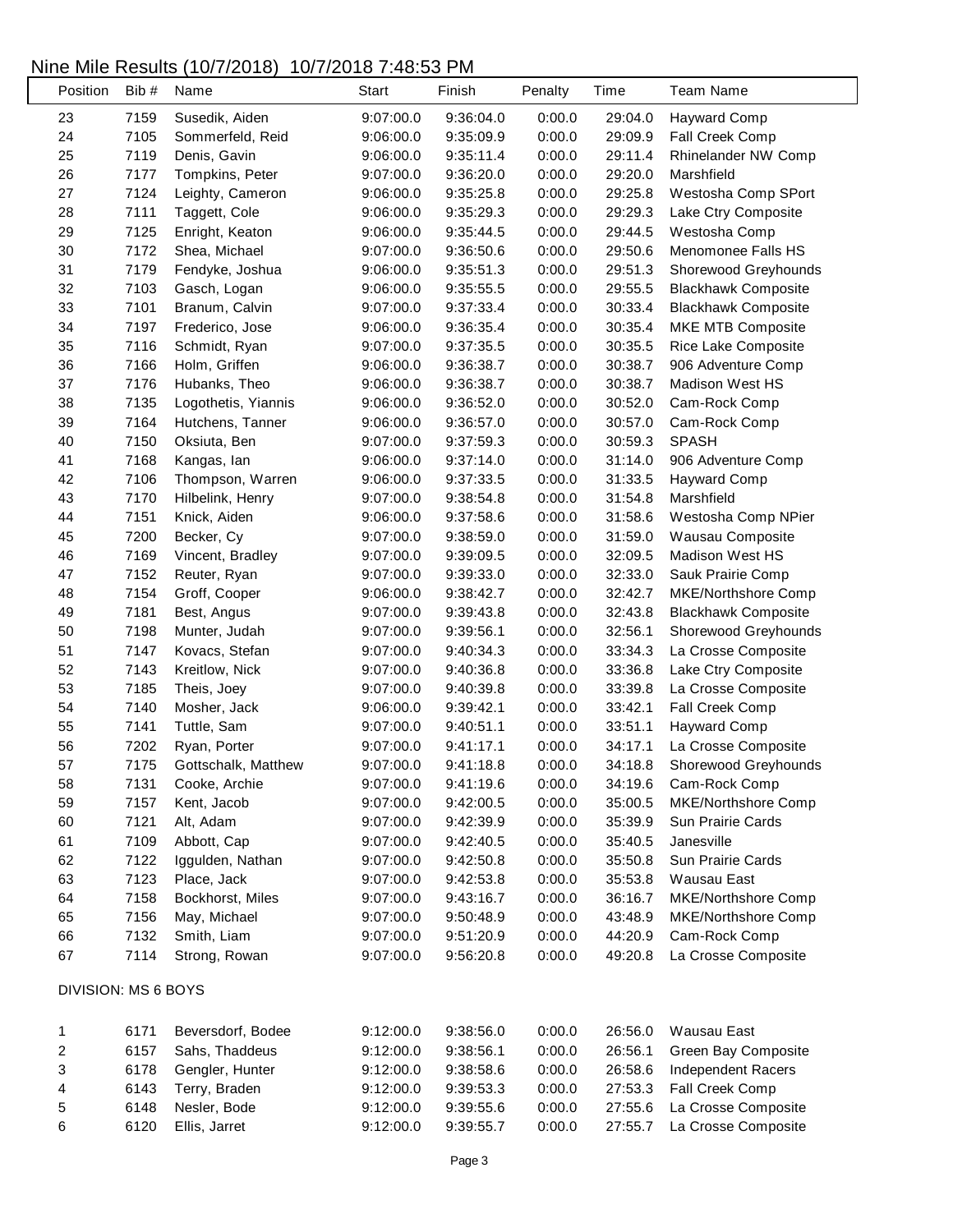## Nine Mile Results (10/7/2018) 10/7/2018 7:48:53 PM

L

| Position                | Bib# | Name                        | <b>Start</b>           | Finish    | Penalty | Time    | <b>Team Name</b>                     |
|-------------------------|------|-----------------------------|------------------------|-----------|---------|---------|--------------------------------------|
| 23                      | 7159 | Susedik, Aiden              | 9:07:00.0              | 9:36:04.0 | 0:00.0  | 29:04.0 | <b>Hayward Comp</b>                  |
| 24                      | 7105 | Sommerfeld, Reid            | 9:06:00.0              | 9:35:09.9 | 0:00.0  | 29:09.9 | Fall Creek Comp                      |
| 25                      | 7119 | Denis, Gavin                | 9:06:00.0              | 9:35:11.4 | 0:00.0  | 29:11.4 | Rhinelander NW Comp                  |
| 26                      | 7177 | Tompkins, Peter             | 9:07:00.0              | 9:36:20.0 | 0:00.0  | 29:20.0 | Marshfield                           |
| 27                      | 7124 | Leighty, Cameron            | 9:06:00.0              | 9:35:25.8 | 0:00.0  | 29:25.8 | Westosha Comp SPort                  |
| 28                      | 7111 | Taggett, Cole               | 9:06:00.0              | 9:35:29.3 | 0:00.0  | 29:29.3 | Lake Ctry Composite                  |
| 29                      | 7125 | Enright, Keaton             | 9:06:00.0              | 9:35:44.5 | 0:00.0  | 29:44.5 | Westosha Comp                        |
| $30\,$                  | 7172 | Shea, Michael               | 9:07:00.0              | 9:36:50.6 | 0:00.0  | 29:50.6 | Menomonee Falls HS                   |
| 31                      | 7179 | Fendyke, Joshua             | 9:06:00.0              | 9:35:51.3 | 0:00.0  | 29:51.3 | Shorewood Greyhounds                 |
| 32                      | 7103 | Gasch, Logan                | 9:06:00.0              | 9:35:55.5 | 0:00.0  | 29:55.5 | <b>Blackhawk Composite</b>           |
| 33                      | 7101 | Branum, Calvin              | 9:07:00.0              | 9:37:33.4 | 0:00.0  | 30:33.4 | <b>Blackhawk Composite</b>           |
| 34                      | 7197 | Frederico, Jose             | 9:06:00.0              | 9:36:35.4 | 0:00.0  | 30:35.4 | MKE MTB Composite                    |
| 35                      | 7116 | Schmidt, Ryan               | 9:07:00.0              | 9:37:35.5 | 0:00.0  | 30:35.5 | Rice Lake Composite                  |
| 36                      | 7166 | Holm, Griffen               | 9:06:00.0              | 9:36:38.7 | 0:00.0  | 30:38.7 | 906 Adventure Comp                   |
| 37                      | 7176 | Hubanks, Theo               | 9:06:00.0              | 9:36:38.7 | 0:00.0  | 30:38.7 | Madison West HS                      |
| 38                      | 7135 | Logothetis, Yiannis         | 9:06:00.0              | 9:36:52.0 | 0:00.0  | 30:52.0 | Cam-Rock Comp                        |
| 39                      | 7164 | Hutchens, Tanner            | 9:06:00.0              | 9:36:57.0 | 0:00.0  | 30:57.0 | Cam-Rock Comp                        |
| 40                      | 7150 | Oksiuta, Ben                | 9:07:00.0              | 9:37:59.3 | 0:00.0  | 30:59.3 | <b>SPASH</b>                         |
| 41                      | 7168 | Kangas, lan                 | 9:06:00.0              | 9:37:14.0 | 0:00.0  | 31:14.0 | 906 Adventure Comp                   |
| 42                      | 7106 | Thompson, Warren            | 9:06:00.0              | 9:37:33.5 | 0:00.0  | 31:33.5 | <b>Hayward Comp</b>                  |
| 43                      | 7170 | Hilbelink, Henry            | 9:07:00.0              | 9:38:54.8 | 0:00.0  | 31:54.8 | Marshfield                           |
| 44                      | 7151 | Knick, Aiden                | 9:06:00.0              | 9:37:58.6 | 0:00.0  | 31:58.6 | Westosha Comp NPier                  |
| 45                      | 7200 | Becker, Cy                  | 9:07:00.0              | 9:38:59.0 | 0:00.0  | 31:59.0 | Wausau Composite                     |
| 46                      | 7169 | Vincent, Bradley            | 9:07:00.0              | 9:39:09.5 | 0:00.0  | 32:09.5 | <b>Madison West HS</b>               |
| 47                      | 7152 | Reuter, Ryan                | 9:07:00.0              | 9:39:33.0 | 0:00.0  | 32:33.0 | Sauk Prairie Comp                    |
| 48                      | 7154 | Groff, Cooper               | 9:06:00.0              | 9:38:42.7 | 0:00.0  | 32:42.7 | MKE/Northshore Comp                  |
| 49                      | 7181 | Best, Angus                 | 9:07:00.0              | 9:39:43.8 | 0:00.0  | 32:43.8 | <b>Blackhawk Composite</b>           |
| 50                      | 7198 | Munter, Judah               | 9:07:00.0              | 9:39:56.1 | 0:00.0  | 32:56.1 | Shorewood Greyhounds                 |
| 51                      | 7147 | Kovacs, Stefan              | 9:07:00.0              | 9:40:34.3 | 0:00.0  | 33:34.3 | La Crosse Composite                  |
| 52                      | 7143 | Kreitlow, Nick              | 9:07:00.0              | 9:40:36.8 | 0:00.0  | 33:36.8 | Lake Ctry Composite                  |
| 53                      | 7185 | Theis, Joey                 | 9:07:00.0              | 9:40:39.8 | 0:00.0  | 33:39.8 | La Crosse Composite                  |
| 54                      | 7140 | Mosher, Jack                | 9:06:00.0              | 9:39:42.1 | 0:00.0  | 33:42.1 | Fall Creek Comp                      |
| 55                      | 7141 | Tuttle, Sam                 | 9:07:00.0              | 9:40:51.1 | 0:00.0  | 33:51.1 | <b>Hayward Comp</b>                  |
| 56                      | 7202 | Ryan, Porter                | 9:07:00.0              | 9:41:17.1 | 0:00.0  | 34:17.1 | La Crosse Composite                  |
| 57                      | 7175 | Gottschalk, Matthew         | 9:07:00.0              | 9:41:18.8 | 0:00.0  | 34:18.8 | Shorewood Greyhounds                 |
| 58                      | 7131 | Cooke, Archie               | 9:07:00.0              | 9:41:19.6 | 0:00.0  | 34:19.6 | Cam-Rock Comp                        |
| 59                      | 7157 | Kent, Jacob                 | 9:07:00.0              | 9:42:00.5 | 0:00.0  | 35:00.5 | <b>MKE/Northshore Comp</b>           |
| 60                      | 7121 | Alt, Adam                   | 9:07:00.0              | 9:42:39.9 | 0:00.0  | 35:39.9 | Sun Prairie Cards                    |
| 61                      | 7109 | Abbott, Cap                 | 9:07:00.0              | 9:42:40.5 | 0:00.0  | 35:40.5 | Janesville                           |
| 62                      | 7122 | Iggulden, Nathan            | 9:07:00.0              | 9:42:50.8 | 0:00.0  | 35:50.8 | Sun Prairie Cards                    |
| 63                      | 7123 | Place, Jack                 | 9:07:00.0              | 9:42:53.8 | 0:00.0  | 35:53.8 | Wausau East                          |
| 64                      | 7158 | Bockhorst, Miles            | 9:07:00.0              | 9:43:16.7 | 0:00.0  | 36:16.7 | MKE/Northshore Comp                  |
| 65                      | 7156 |                             |                        |           | 0:00.0  |         |                                      |
| 66                      | 7132 | May, Michael<br>Smith, Liam | 9:07:00.0<br>9:07:00.0 | 9:50:48.9 | 0:00.0  | 43:48.9 | MKE/Northshore Comp                  |
| 67                      | 7114 |                             |                        | 9:51:20.9 |         | 44:20.9 | Cam-Rock Comp<br>La Crosse Composite |
|                         |      | Strong, Rowan               | 9:07:00.0              | 9:56:20.8 | 0:00.0  | 49:20.8 |                                      |
| DIVISION: MS 6 BOYS     |      |                             |                        |           |         |         |                                      |
| $\mathbf{1}$            | 6171 | Beversdorf, Bodee           | 9:12:00.0              | 9:38:56.0 | 0:00.0  | 26:56.0 | <b>Wausau East</b>                   |
| $\overline{\mathbf{c}}$ | 6157 | Sahs, Thaddeus              | 9:12:00.0              | 9:38:56.1 | 0:00.0  | 26:56.1 | Green Bay Composite                  |
| 3                       | 6178 | Gengler, Hunter             | 9:12:00.0              | 9:38:58.6 | 0:00.0  | 26:58.6 | Independent Racers                   |
| $\overline{\mathbf{4}}$ | 6143 | Terry, Braden               | 9:12:00.0              | 9:39:53.3 | 0:00.0  | 27:53.3 | Fall Creek Comp                      |
| $\mathbf 5$             | 6148 | Nesler, Bode                | 9:12:00.0              | 9:39:55.6 | 0:00.0  | 27:55.6 | La Crosse Composite                  |
| 6                       | 6120 | Ellis, Jarret               | 9:12:00.0              | 9:39:55.7 | 0:00.0  | 27:55.7 | La Crosse Composite                  |